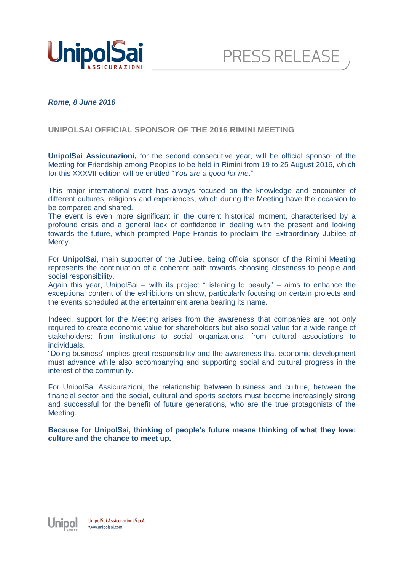



## *Rome, 8 June 2016*

## **UNIPOLSAI OFFICIAL SPONSOR OF THE 2016 RIMINI MEETING**

**UnipolSai Assicurazioni,** for the second consecutive year, will be official sponsor of the Meeting for Friendship among Peoples to be held in Rimini from 19 to 25 August 2016, which for this XXXVII edition will be entitled "*You are a good for me*."

This major international event has always focused on the knowledge and encounter of different cultures, religions and experiences, which during the Meeting have the occasion to be compared and shared.

The event is even more significant in the current historical moment, characterised by a profound crisis and a general lack of confidence in dealing with the present and looking towards the future, which prompted Pope Francis to proclaim the Extraordinary Jubilee of Mercy.

For **UnipolSai**, main supporter of the Jubilee, being official sponsor of the Rimini Meeting represents the continuation of a coherent path towards choosing closeness to people and social responsibility.

Again this year, UnipolSai – with its project "Listening to beauty" – aims to enhance the exceptional content of the exhibitions on show, particularly focusing on certain projects and the events scheduled at the entertainment arena bearing its name.

Indeed, support for the Meeting arises from the awareness that companies are not only required to create economic value for shareholders but also social value for a wide range of stakeholders: from institutions to social organizations, from cultural associations to individuals.

"Doing business" implies great responsibility and the awareness that economic development must advance while also accompanying and supporting social and cultural progress in the interest of the community.

For UnipolSai Assicurazioni, the relationship between business and culture, between the financial sector and the social, cultural and sports sectors must become increasingly strong and successful for the benefit of future generations, who are the true protagonists of the Meeting.

**Because for UnipolSai, thinking of people's future means thinking of what they love: culture and the chance to meet up.**